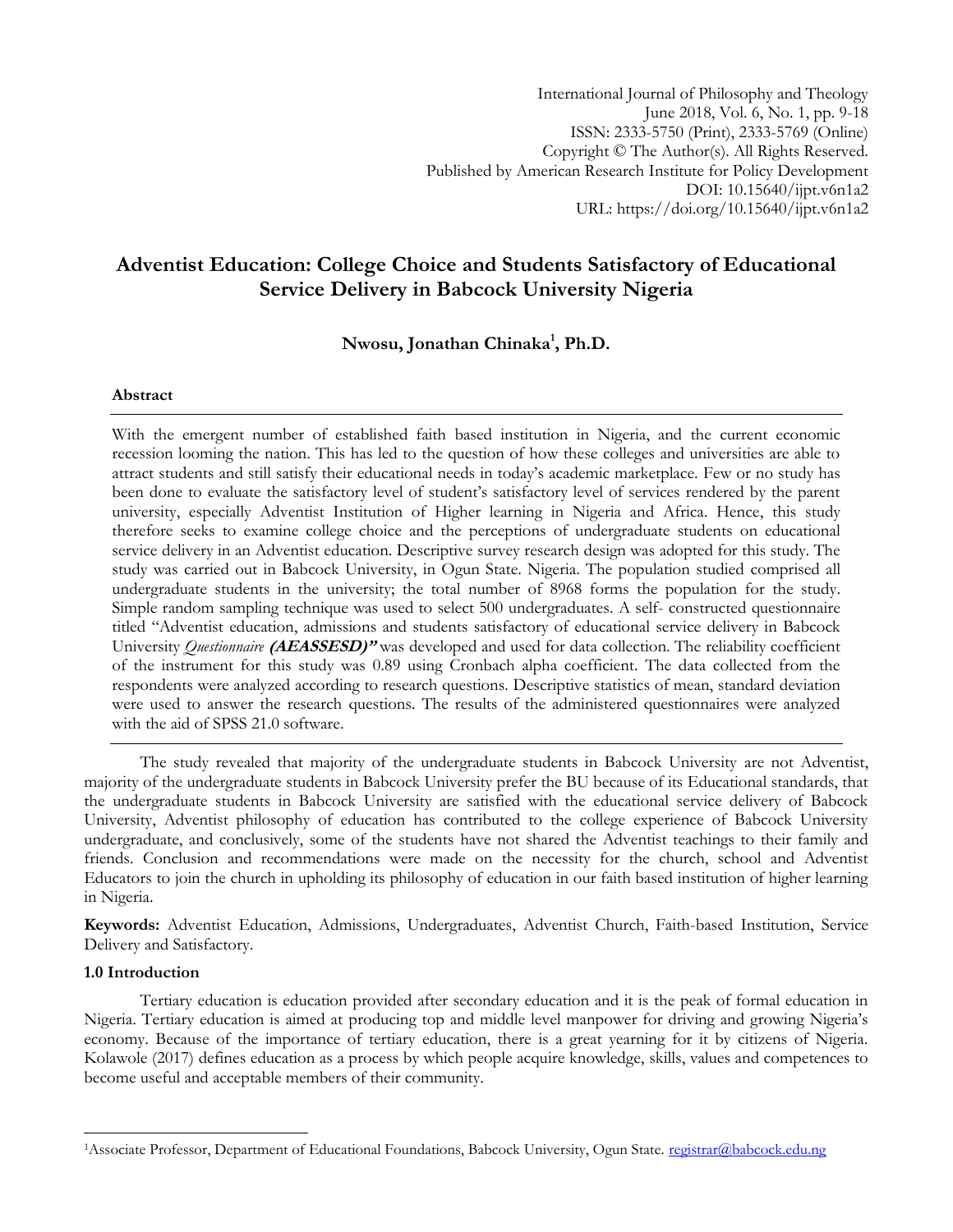International Journal of Philosophy and Theology June 2018, Vol. 6, No. 1, pp. 9-18 ISSN: 2333-5750 (Print), 2333-5769 (Online) Copyright © The Author(s). All Rights Reserved. Published by American Research Institute for Policy Development DOI: 10.15640/ijpt.v6n1a2 URL: https://doi.org/10.15640/ijpt.v6n1a2

# **Adventist Education: College Choice and Students Satisfactory of Educational Service Delivery in Babcock University Nigeria**

## **Nwosu, Jonathan Chinaka<sup>1</sup> , Ph.D.**

#### **Abstract**

With the emergent number of established faith based institution in Nigeria, and the current economic recession looming the nation. This has led to the question of how these colleges and universities are able to attract students and still satisfy their educational needs in today's academic marketplace. Few or no study has been done to evaluate the satisfactory level of student's satisfactory level of services rendered by the parent university, especially Adventist Institution of Higher learning in Nigeria and Africa. Hence, this study therefore seeks to examine college choice and the perceptions of undergraduate students on educational service delivery in an Adventist education. Descriptive survey research design was adopted for this study. The study was carried out in Babcock University, in Ogun State. Nigeria. The population studied comprised all undergraduate students in the university; the total number of 8968 forms the population for the study. Simple random sampling technique was used to select 500 undergraduates. A self- constructed questionnaire titled "Adventist education, admissions and students satisfactory of educational service delivery in Babcock University *Questionnaire* **(AEASSESD)"** was developed and used for data collection. The reliability coefficient of the instrument for this study was 0.89 using Cronbach alpha coefficient. The data collected from the respondents were analyzed according to research questions. Descriptive statistics of mean, standard deviation were used to answer the research questions. The results of the administered questionnaires were analyzed with the aid of SPSS 21.0 software.

The study revealed that majority of the undergraduate students in Babcock University are not Adventist, majority of the undergraduate students in Babcock University prefer the BU because of its Educational standards, that the undergraduate students in Babcock University are satisfied with the educational service delivery of Babcock University, Adventist philosophy of education has contributed to the college experience of Babcock University undergraduate, and conclusively, some of the students have not shared the Adventist teachings to their family and friends. Conclusion and recommendations were made on the necessity for the church, school and Adventist Educators to join the church in upholding its philosophy of education in our faith based institution of higher learning in Nigeria.

**Keywords:** Adventist Education, Admissions, Undergraduates, Adventist Church, Faith-based Institution, Service Delivery and Satisfactory.

#### **1.0 Introduction**

 $\overline{\phantom{a}}$ 

Tertiary education is education provided after secondary education and it is the peak of formal education in Nigeria. Tertiary education is aimed at producing top and middle level manpower for driving and growing Nigeria's economy. Because of the importance of tertiary education, there is a great yearning for it by citizens of Nigeria. Kolawole (2017) defines education as a process by which people acquire knowledge, skills, values and competences to become useful and acceptable members of their community.

<sup>&</sup>lt;sup>1</sup>Associate Professor, Department of Educational Foundations, Babcock University, Ogun State. [registrar@babcock.edu.ng](mailto:registrar@babcock.edu.ng)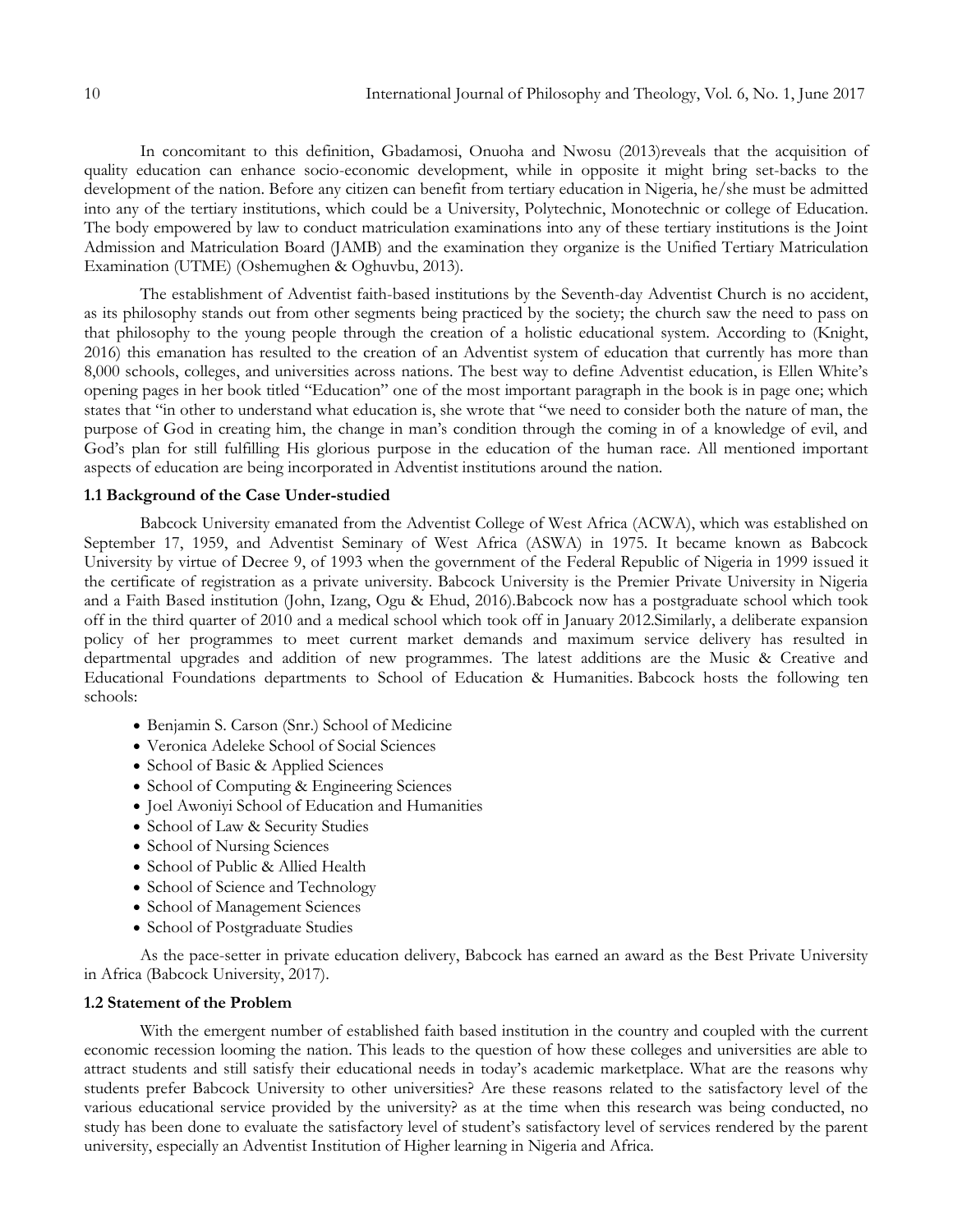In concomitant to this definition, Gbadamosi, Onuoha and Nwosu (2013)reveals that the acquisition of quality education can enhance socio-economic development, while in opposite it might bring set-backs to the development of the nation. Before any citizen can benefit from tertiary education in Nigeria, he/she must be admitted into any of the tertiary institutions, which could be a University, Polytechnic, Monotechnic or college of Education. The body empowered by law to conduct matriculation examinations into any of these tertiary institutions is the Joint Admission and Matriculation Board (JAMB) and the examination they organize is the Unified Tertiary Matriculation Examination (UTME) (Oshemughen & Oghuvbu, 2013).

The establishment of Adventist faith-based institutions by the Seventh-day Adventist Church is no accident, as its philosophy stands out from other segments being practiced by the society; the church saw the need to pass on that philosophy to the young people through the creation of a holistic educational system. According to (Knight, 2016) this emanation has resulted to the creation of an Adventist system of education that currently has more than 8,000 schools, colleges, and universities across nations. The best way to define Adventist education, is Ellen White's opening pages in her book titled "Education" one of the most important paragraph in the book is in page one; which states that "in other to understand what education is, she wrote that "we need to consider both the nature of man, the purpose of God in creating him, the change in man's condition through the coming in of a knowledge of evil, and God's plan for still fulfilling His glorious purpose in the education of the human race. All mentioned important aspects of education are being incorporated in Adventist institutions around the nation.

#### **1.1 Background of the Case Under-studied**

Babcock University emanated from the Adventist College of West Africa (ACWA), which was established on September 17, 1959, and Adventist Seminary of West Africa (ASWA) in 1975. It became known as Babcock University by virtue of Decree 9, of 1993 when the government of the Federal Republic of Nigeria in 1999 issued it the certificate of registration as a private university. Babcock University is the Premier Private University in Nigeria and a Faith Based institution (John, Izang, Ogu & Ehud, 2016).Babcock now has a postgraduate school which took off in the third quarter of 2010 and a medical school which took off in January 2012.Similarly, a deliberate expansion policy of her programmes to meet current market demands and maximum service delivery has resulted in departmental upgrades and addition of new programmes. The latest additions are the Music & Creative and Educational Foundations departments to School of Education & Humanities. Babcock hosts the following ten schools:

- Benjamin S. Carson (Snr.) School of Medicine
- Veronica Adeleke School of Social Sciences
- School of Basic & Applied Sciences
- School of Computing & Engineering Sciences
- Joel Awonivi School of Education and Humanities
- School of Law & Security Studies
- School of Nursing Sciences
- School of Public & Allied Health
- School of Science and Technology
- School of Management Sciences
- School of Postgraduate Studies

As the pace-setter in private education delivery, Babcock has earned an award as the Best Private University in Africa (Babcock University, 2017).

#### **1.2 Statement of the Problem**

With the emergent number of established faith based institution in the country and coupled with the current economic recession looming the nation. This leads to the question of how these colleges and universities are able to attract students and still satisfy their educational needs in today's academic marketplace. What are the reasons why students prefer Babcock University to other universities? Are these reasons related to the satisfactory level of the various educational service provided by the university? as at the time when this research was being conducted, no study has been done to evaluate the satisfactory level of student's satisfactory level of services rendered by the parent university, especially an Adventist Institution of Higher learning in Nigeria and Africa.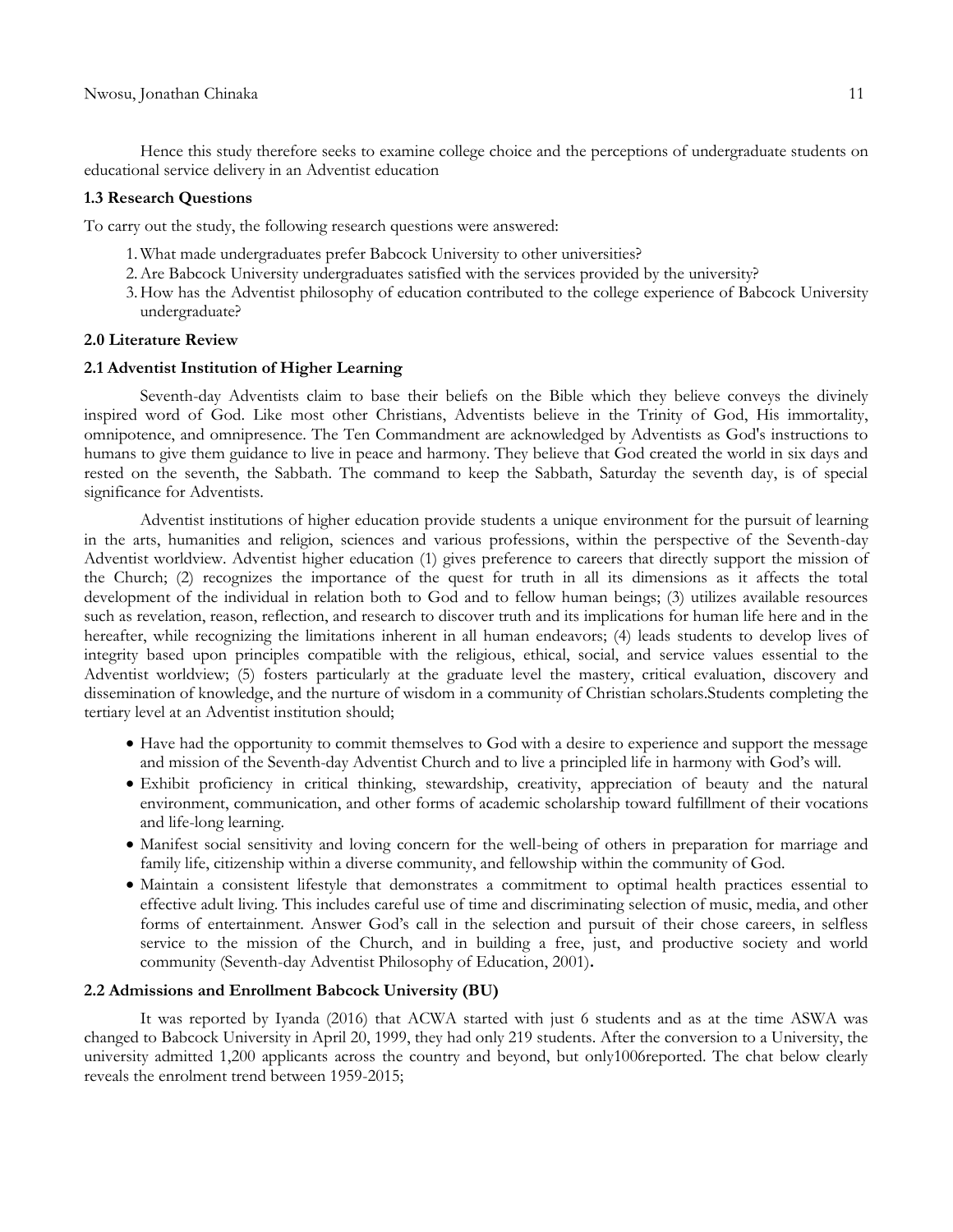Hence this study therefore seeks to examine college choice and the perceptions of undergraduate students on educational service delivery in an Adventist education

#### **1.3 Research Questions**

To carry out the study, the following research questions were answered:

- 1.What made undergraduates prefer Babcock University to other universities?
- 2.Are Babcock University undergraduates satisfied with the services provided by the university?
- 3.How has the Adventist philosophy of education contributed to the college experience of Babcock University undergraduate?

#### **2.0 Literature Review**

#### **2.1 Adventist Institution of Higher Learning**

Seventh-day Adventists claim to base their beliefs on the Bible which they believe conveys the divinely inspired word of God. Like most other Christians, Adventists believe in the Trinity of God, His immortality, omnipotence, and omnipresence. The Ten Commandment are acknowledged by Adventists as God's instructions to humans to give them guidance to live in peace and harmony. They believe that God created the world in six days and rested on the seventh, the Sabbath. The command to keep the Sabbath, Saturday the seventh day, is of special significance for Adventists.

Adventist institutions of higher education provide students a unique environment for the pursuit of learning in the arts, humanities and religion, sciences and various professions, within the perspective of the Seventh-day Adventist worldview. Adventist higher education (1) gives preference to careers that directly support the mission of the Church; (2) recognizes the importance of the quest for truth in all its dimensions as it affects the total development of the individual in relation both to God and to fellow human beings; (3) utilizes available resources such as revelation, reason, reflection, and research to discover truth and its implications for human life here and in the hereafter, while recognizing the limitations inherent in all human endeavors; (4) leads students to develop lives of integrity based upon principles compatible with the religious, ethical, social, and service values essential to the Adventist worldview; (5) fosters particularly at the graduate level the mastery, critical evaluation, discovery and dissemination of knowledge, and the nurture of wisdom in a community of Christian scholars.Students completing the tertiary level at an Adventist institution should;

- Have had the opportunity to commit themselves to God with a desire to experience and support the message and mission of the Seventh-day Adventist Church and to live a principled life in harmony with God's will.
- Exhibit proficiency in critical thinking, stewardship, creativity, appreciation of beauty and the natural environment, communication, and other forms of academic scholarship toward fulfillment of their vocations and life-long learning.
- Manifest social sensitivity and loving concern for the well-being of others in preparation for marriage and family life, citizenship within a diverse community, and fellowship within the community of God.
- Maintain a consistent lifestyle that demonstrates a commitment to optimal health practices essential to effective adult living. This includes careful use of time and discriminating selection of music, media, and other forms of entertainment. Answer God's call in the selection and pursuit of their chose careers, in selfless service to the mission of the Church, and in building a free, just, and productive society and world community (Seventh-day Adventist Philosophy of Education, 2001)**.**

#### **2.2 Admissions and Enrollment Babcock University (BU)**

It was reported by Iyanda (2016) that ACWA started with just 6 students and as at the time ASWA was changed to Babcock University in April 20, 1999, they had only 219 students. After the conversion to a University, the university admitted 1,200 applicants across the country and beyond, but only1006reported. The chat below clearly reveals the enrolment trend between 1959-2015;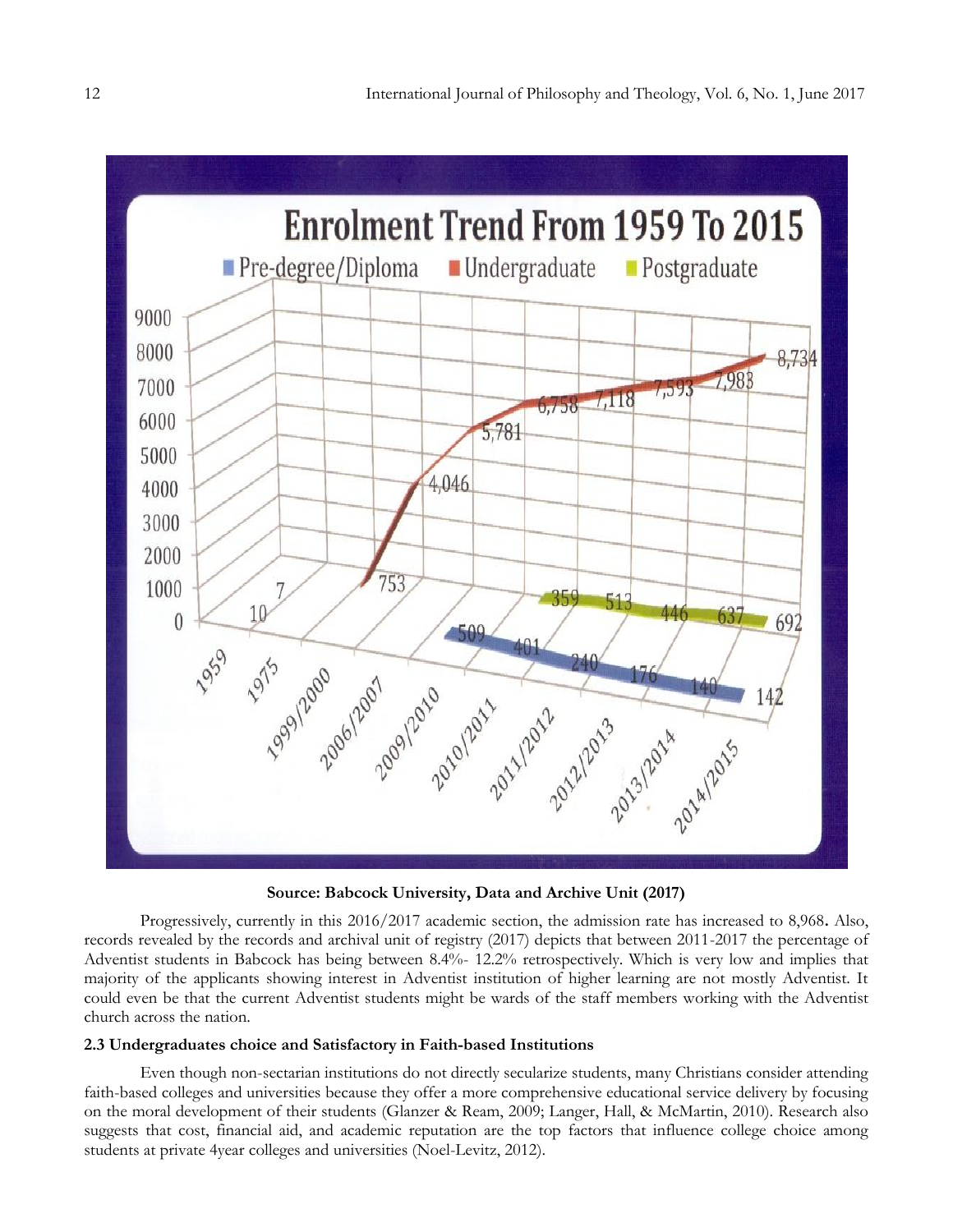

**Source: Babcock University, Data and Archive Unit (2017)**

Progressively, currently in this 2016/2017 academic section, the admission rate has increased to 8,968**.** Also, records revealed by the records and archival unit of registry (2017) depicts that between 2011-2017 the percentage of Adventist students in Babcock has being between 8.4%- 12.2% retrospectively. Which is very low and implies that majority of the applicants showing interest in Adventist institution of higher learning are not mostly Adventist. It could even be that the current Adventist students might be wards of the staff members working with the Adventist church across the nation.

#### **2.3 Undergraduates choice and Satisfactory in Faith-based Institutions**

Even though non-sectarian institutions do not directly secularize students, many Christians consider attending faith-based colleges and universities because they offer a more comprehensive educational service delivery by focusing on the moral development of their students (Glanzer & Ream, 2009; Langer, Hall, & McMartin, 2010). Research also suggests that cost, financial aid, and academic reputation are the top factors that influence college choice among students at private 4year colleges and universities (Noel-Levitz, 2012).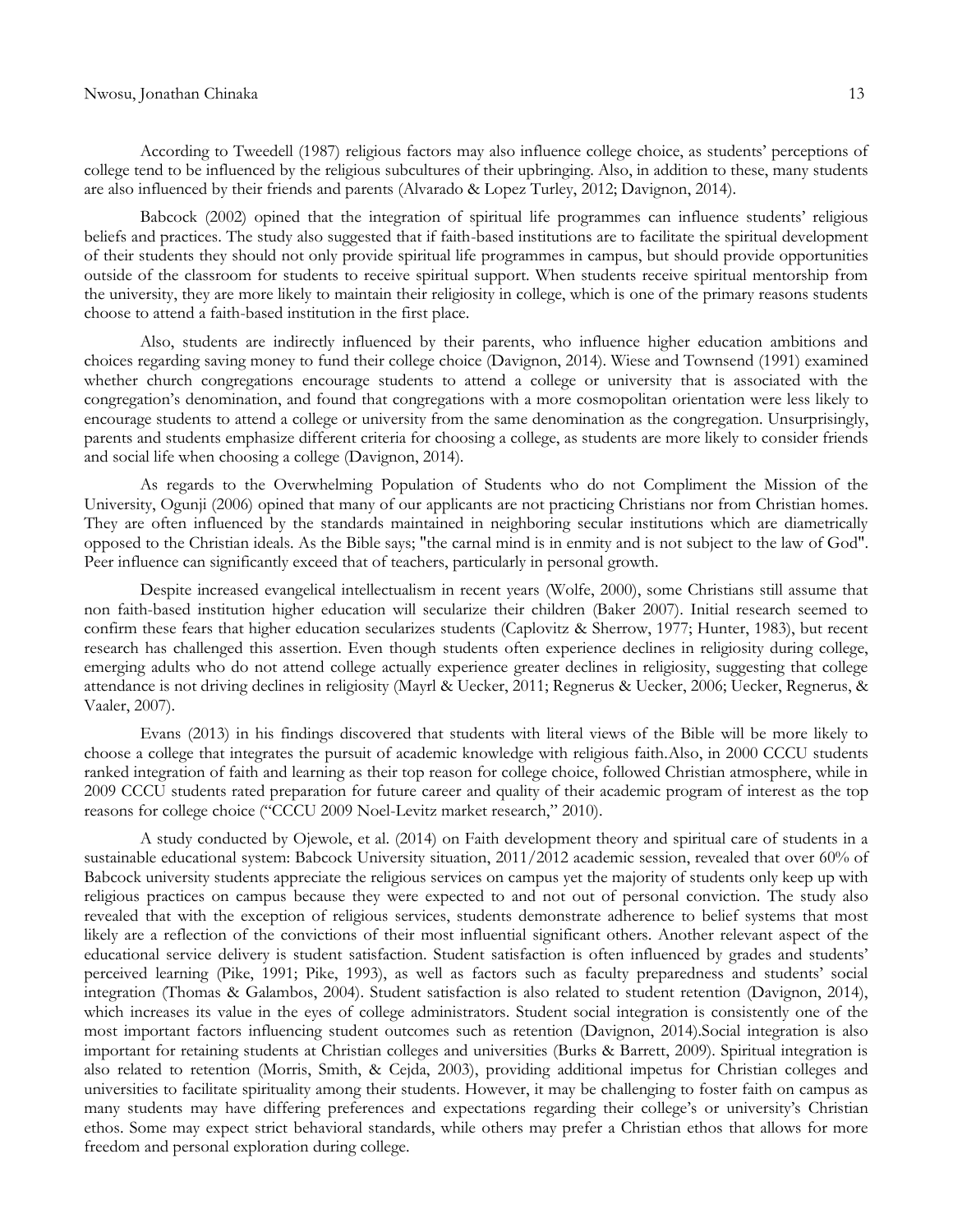According to Tweedell (1987) religious factors may also influence college choice, as students' perceptions of college tend to be influenced by the religious subcultures of their upbringing. Also, in addition to these, many students are also influenced by their friends and parents (Alvarado & Lopez Turley, 2012; Davignon, 2014).

Babcock (2002) opined that the integration of spiritual life programmes can influence students' religious beliefs and practices. The study also suggested that if faith-based institutions are to facilitate the spiritual development of their students they should not only provide spiritual life programmes in campus, but should provide opportunities outside of the classroom for students to receive spiritual support. When students receive spiritual mentorship from the university, they are more likely to maintain their religiosity in college, which is one of the primary reasons students choose to attend a faith-based institution in the first place.

Also, students are indirectly influenced by their parents, who influence higher education ambitions and choices regarding saving money to fund their college choice (Davignon, 2014). Wiese and Townsend (1991) examined whether church congregations encourage students to attend a college or university that is associated with the congregation's denomination, and found that congregations with a more cosmopolitan orientation were less likely to encourage students to attend a college or university from the same denomination as the congregation. Unsurprisingly, parents and students emphasize different criteria for choosing a college, as students are more likely to consider friends and social life when choosing a college (Davignon, 2014).

As regards to the Overwhelming Population of Students who do not Compliment the Mission of the University, Ogunji (2006) opined that many of our applicants are not practicing Christians nor from Christian homes. They are often influenced by the standards maintained in neighboring secular institutions which are diametrically opposed to the Christian ideals. As the Bible says; "the carnal mind is in enmity and is not subject to the law of God". Peer influence can significantly exceed that of teachers, particularly in personal growth.

Despite increased evangelical intellectualism in recent years (Wolfe, 2000), some Christians still assume that non faith-based institution higher education will secularize their children (Baker 2007). Initial research seemed to confirm these fears that higher education secularizes students (Caplovitz & Sherrow, 1977; Hunter, 1983), but recent research has challenged this assertion. Even though students often experience declines in religiosity during college, emerging adults who do not attend college actually experience greater declines in religiosity, suggesting that college attendance is not driving declines in religiosity (Mayrl & Uecker, 2011; Regnerus & Uecker, 2006; Uecker, Regnerus, & Vaaler, 2007).

Evans (2013) in his findings discovered that students with literal views of the Bible will be more likely to choose a college that integrates the pursuit of academic knowledge with religious faith.Also, in 2000 CCCU students ranked integration of faith and learning as their top reason for college choice, followed Christian atmosphere, while in 2009 CCCU students rated preparation for future career and quality of their academic program of interest as the top reasons for college choice ("CCCU 2009 Noel-Levitz market research," 2010).

A study conducted by Ojewole, et al. (2014) on Faith development theory and spiritual care of students in a sustainable educational system: Babcock University situation, 2011/2012 academic session, revealed that over 60% of Babcock university students appreciate the religious services on campus yet the majority of students only keep up with religious practices on campus because they were expected to and not out of personal conviction. The study also revealed that with the exception of religious services, students demonstrate adherence to belief systems that most likely are a reflection of the convictions of their most influential significant others. Another relevant aspect of the educational service delivery is student satisfaction. Student satisfaction is often influenced by grades and students' perceived learning (Pike, 1991; Pike, 1993), as well as factors such as faculty preparedness and students' social integration (Thomas & Galambos, 2004). Student satisfaction is also related to student retention (Davignon, 2014), which increases its value in the eyes of college administrators. Student social integration is consistently one of the most important factors influencing student outcomes such as retention (Davignon, 2014).Social integration is also important for retaining students at Christian colleges and universities (Burks & Barrett, 2009). Spiritual integration is also related to retention (Morris, Smith, & Cejda, 2003), providing additional impetus for Christian colleges and universities to facilitate spirituality among their students. However, it may be challenging to foster faith on campus as many students may have differing preferences and expectations regarding their college's or university's Christian ethos. Some may expect strict behavioral standards, while others may prefer a Christian ethos that allows for more freedom and personal exploration during college.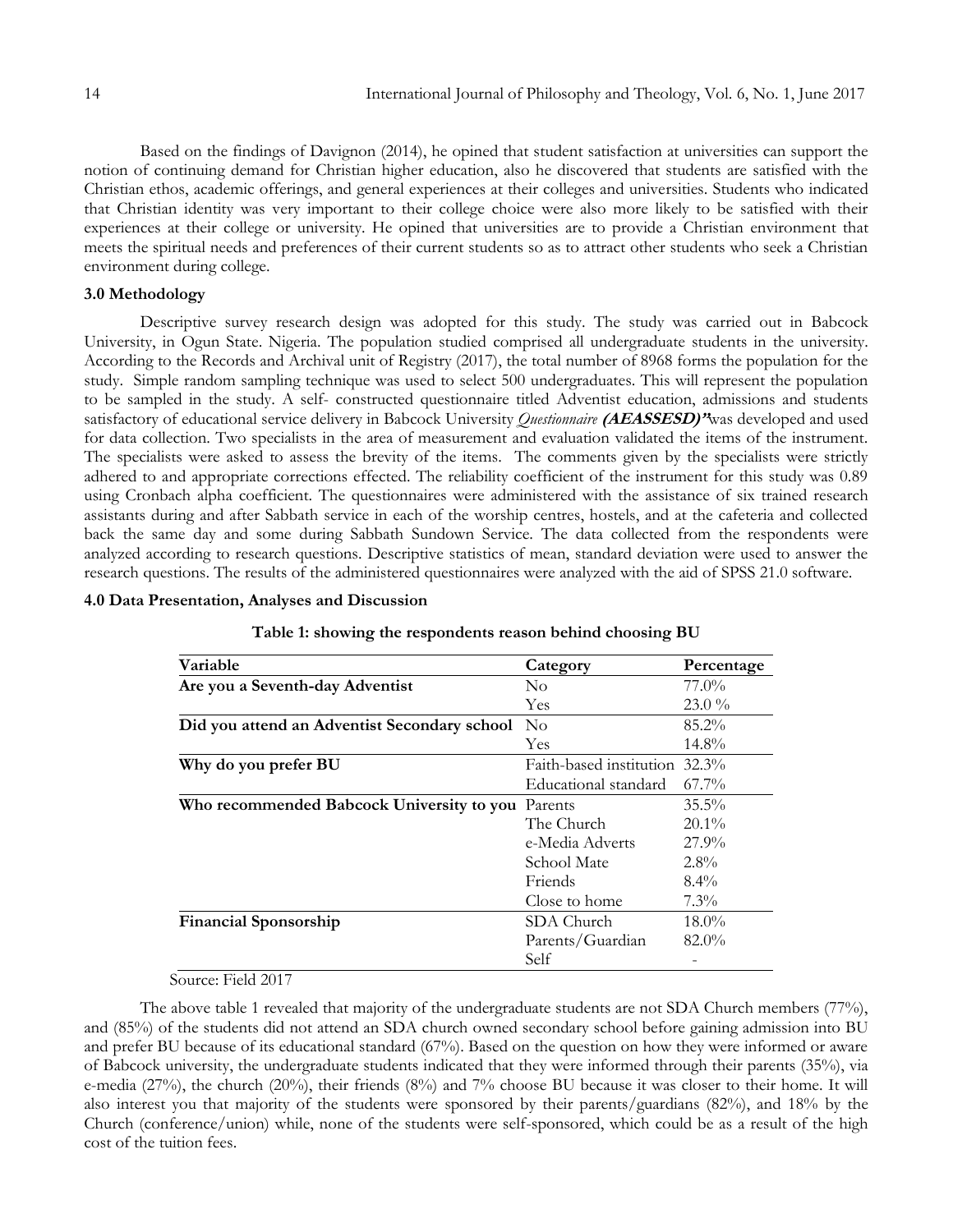Based on the findings of Davignon (2014), he opined that student satisfaction at universities can support the notion of continuing demand for Christian higher education, also he discovered that students are satisfied with the Christian ethos, academic offerings, and general experiences at their colleges and universities. Students who indicated that Christian identity was very important to their college choice were also more likely to be satisfied with their experiences at their college or university. He opined that universities are to provide a Christian environment that meets the spiritual needs and preferences of their current students so as to attract other students who seek a Christian environment during college.

#### **3.0 Methodology**

Descriptive survey research design was adopted for this study. The study was carried out in Babcock University, in Ogun State. Nigeria. The population studied comprised all undergraduate students in the university. According to the Records and Archival unit of Registry (2017), the total number of 8968 forms the population for the study. Simple random sampling technique was used to select 500 undergraduates. This will represent the population to be sampled in the study. A self- constructed questionnaire titled Adventist education, admissions and students satisfactory of educational service delivery in Babcock University *Questionnaire* **(AEASSESD)"**was developed and used for data collection. Two specialists in the area of measurement and evaluation validated the items of the instrument. The specialists were asked to assess the brevity of the items. The comments given by the specialists were strictly adhered to and appropriate corrections effected. The reliability coefficient of the instrument for this study was 0.89 using Cronbach alpha coefficient. The questionnaires were administered with the assistance of six trained research assistants during and after Sabbath service in each of the worship centres, hostels, and at the cafeteria and collected back the same day and some during Sabbath Sundown Service. The data collected from the respondents were analyzed according to research questions. Descriptive statistics of mean, standard deviation were used to answer the research questions. The results of the administered questionnaires were analyzed with the aid of SPSS 21.0 software.

#### **4.0 Data Presentation, Analyses and Discussion**

| Variable                                          | Category                      | Percentage |  |  |
|---------------------------------------------------|-------------------------------|------------|--|--|
| Are you a Seventh-day Adventist                   | $\rm No$                      | 77.0%      |  |  |
|                                                   | <b>Yes</b>                    | 23.0%      |  |  |
| Did you attend an Adventist Secondary school No   |                               | 85.2%      |  |  |
|                                                   | <b>Yes</b>                    | 14.8%      |  |  |
| Why do you prefer BU                              | Faith-based institution 32.3% |            |  |  |
|                                                   | Educational standard          | $67.7\%$   |  |  |
| Who recommended Babcock University to you Parents |                               | $35.5\%$   |  |  |
|                                                   | The Church                    | $20.1\%$   |  |  |
|                                                   | e-Media Adverts               | 27.9%      |  |  |
|                                                   | School Mate                   | $2.8\%$    |  |  |
|                                                   | Friends                       | $8.4\%$    |  |  |
|                                                   | Close to home                 | $7.3\%$    |  |  |
| <b>Financial Sponsorship</b>                      | SDA Church                    | $18.0\%$   |  |  |
|                                                   | Parents/Guardian              | $82.0\%$   |  |  |
|                                                   | Self                          |            |  |  |

**Table 1: showing the respondents reason behind choosing BU**

### Source: Field 2017

The above table 1 revealed that majority of the undergraduate students are not SDA Church members (77%), and (85%) of the students did not attend an SDA church owned secondary school before gaining admission into BU and prefer BU because of its educational standard (67%). Based on the question on how they were informed or aware of Babcock university, the undergraduate students indicated that they were informed through their parents (35%), via e-media (27%), the church (20%), their friends (8%) and 7% choose BU because it was closer to their home. It will also interest you that majority of the students were sponsored by their parents/guardians (82%), and 18% by the Church (conference/union) while, none of the students were self-sponsored, which could be as a result of the high cost of the tuition fees.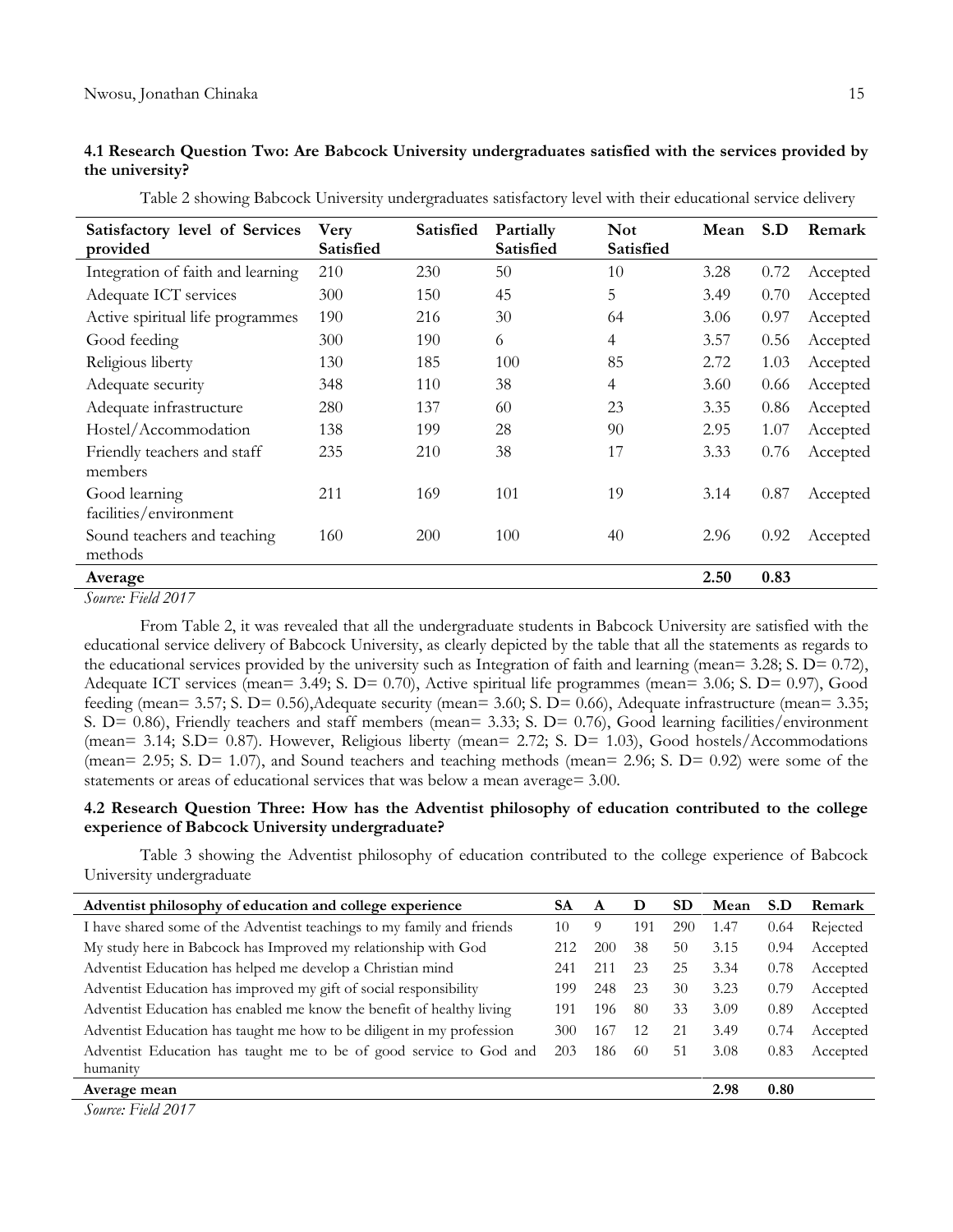### **4.1 Research Question Two: Are Babcock University undergraduates satisfied with the services provided by the university?**

| Satisfactory level of Services<br>provided | Very<br>Satisfied | Satisfied | Partially<br>Satisfied | <b>Not</b><br>Satisfied | Mean | S.D  | Remark   |
|--------------------------------------------|-------------------|-----------|------------------------|-------------------------|------|------|----------|
| Integration of faith and learning          | 210               | 230       | 50                     | 10                      | 3.28 | 0.72 | Accepted |
| Adequate ICT services                      | 300               | 150       | 45                     | 5                       | 3.49 | 0.70 | Accepted |
| Active spiritual life programmes           | 190               | 216       | 30                     | 64                      | 3.06 | 0.97 | Accepted |
| Good feeding                               | 300               | 190       | 6                      | 4                       | 3.57 | 0.56 | Accepted |
| Religious liberty                          | 130               | 185       | 100                    | 85                      | 2.72 | 1.03 | Accepted |
| Adequate security                          | 348               | 110       | 38                     | 4                       | 3.60 | 0.66 | Accepted |
| Adequate infrastructure                    | 280               | 137       | 60                     | 23                      | 3.35 | 0.86 | Accepted |
| Hostel/Accommodation                       | 138               | 199       | 28                     | 90                      | 2.95 | 1.07 | Accepted |
| Friendly teachers and staff<br>members     | 235               | 210       | 38                     | 17                      | 3.33 | 0.76 | Accepted |
| Good learning<br>facilities/environment    | 211               | 169       | 101                    | 19                      | 3.14 | 0.87 | Accepted |
| Sound teachers and teaching<br>methods     | 160               | 200       | 100                    | 40                      | 2.96 | 0.92 | Accepted |
| Average                                    |                   |           |                        |                         | 2.50 | 0.83 |          |

Table 2 showing Babcock University undergraduates satisfactory level with their educational service delivery

*Source: Field 2017*

From Table 2, it was revealed that all the undergraduate students in Babcock University are satisfied with the educational service delivery of Babcock University, as clearly depicted by the table that all the statements as regards to the educational services provided by the university such as Integration of faith and learning (mean=  $3.28$ ; S. D=  $0.72$ ), Adequate ICT services (mean= 3.49; S. D= 0.70), Active spiritual life programmes (mean= 3.06; S. D= 0.97), Good feeding (mean= 3.57; S. D= 0.56),Adequate security (mean= 3.60; S. D= 0.66), Adequate infrastructure (mean= 3.35; S. D= 0.86), Friendly teachers and staff members (mean= 3.33; S. D= 0.76), Good learning facilities/environment (mean= 3.14; S.D= 0.87). However, Religious liberty (mean= 2.72; S. D= 1.03), Good hostels/Accommodations (mean= 2.95; S. D= 1.07), and Sound teachers and teaching methods (mean= 2.96; S. D= 0.92) were some of the statements or areas of educational services that was below a mean average= 3.00.

## **4.2 Research Question Three: How has the Adventist philosophy of education contributed to the college experience of Babcock University undergraduate?**

Table 3 showing the Adventist philosophy of education contributed to the college experience of Babcock University undergraduate

| Adventist philosophy of education and college experience               | SA  | A   | D   | <b>SD</b> | Mean | S.D  | Remark   |
|------------------------------------------------------------------------|-----|-----|-----|-----------|------|------|----------|
| I have shared some of the Adventist teachings to my family and friends | 10  | 9   | 191 | 290       | 1.47 | 0.64 | Rejected |
| My study here in Babcock has Improved my relationship with God         | 212 | 200 | 38  | 50        | 3.15 | 0.94 | Accepted |
| Adventist Education has helped me develop a Christian mind             | 241 | 211 | 23  | 25        | 3.34 | 0.78 | Accepted |
| Adventist Education has improved my gift of social responsibility      | 199 | 248 | 23  | 30        | 3.23 | 0.79 | Accepted |
| Adventist Education has enabled me know the benefit of healthy living  | 191 | 196 | 80  | 33        | 3.09 | 0.89 | Accepted |
| Adventist Education has taught me how to be diligent in my profession  | 300 | 167 | 12  | 21        | 3.49 | 0.74 | Accepted |
| Adventist Education has taught me to be of good service to God and     | 203 | 186 | 60  | 51        | 3.08 | 0.83 | Accepted |
| humanity                                                               |     |     |     |           |      |      |          |
| Average mean                                                           |     |     |     |           | 2.98 | 0.80 |          |

*Source: Field 2017*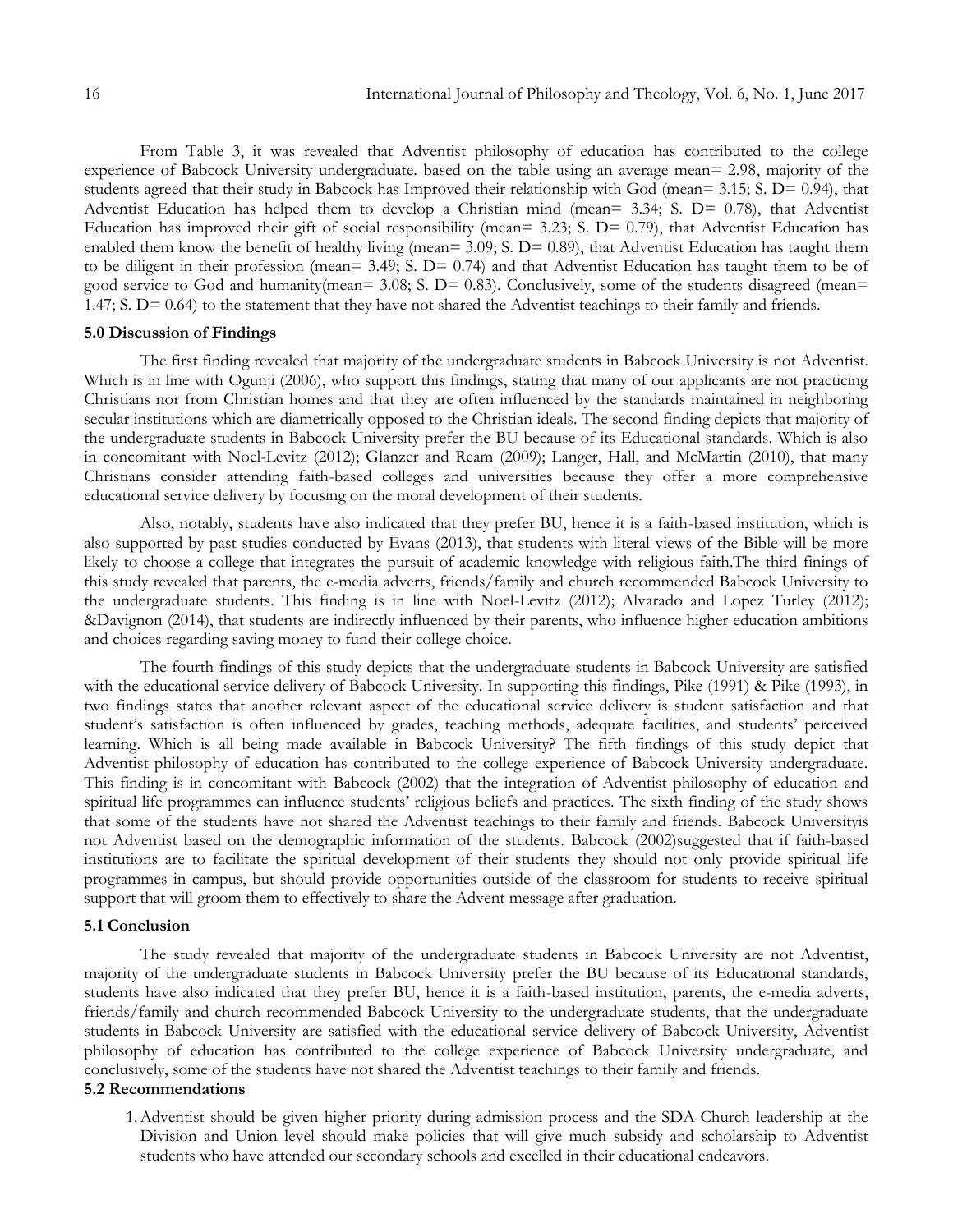From Table 3, it was revealed that Adventist philosophy of education has contributed to the college experience of Babcock University undergraduate. based on the table using an average mean= 2.98, majority of the students agreed that their study in Babcock has Improved their relationship with God (mean= 3.15; S. D= 0.94), that Adventist Education has helped them to develop a Christian mind (mean= 3.34; S. D= 0.78), that Adventist Education has improved their gift of social responsibility (mean= 3.23; S. D= 0.79), that Adventist Education has enabled them know the benefit of healthy living (mean= 3.09; S. D= 0.89), that Adventist Education has taught them to be diligent in their profession (mean= 3.49; S. D= 0.74) and that Adventist Education has taught them to be of good service to God and humanity(mean= 3.08; S. D= 0.83). Conclusively, some of the students disagreed (mean= 1.47; S. D= 0.64) to the statement that they have not shared the Adventist teachings to their family and friends.

#### **5.0 Discussion of Findings**

The first finding revealed that majority of the undergraduate students in Babcock University is not Adventist. Which is in line with Ogunji (2006), who support this findings, stating that many of our applicants are not practicing Christians nor from Christian homes and that they are often influenced by the standards maintained in neighboring secular institutions which are diametrically opposed to the Christian ideals. The second finding depicts that majority of the undergraduate students in Babcock University prefer the BU because of its Educational standards. Which is also in concomitant with Noel-Levitz (2012); Glanzer and Ream (2009); Langer, Hall, and McMartin (2010), that many Christians consider attending faith-based colleges and universities because they offer a more comprehensive educational service delivery by focusing on the moral development of their students.

Also, notably, students have also indicated that they prefer BU, hence it is a faith-based institution, which is also supported by past studies conducted by Evans (2013), that students with literal views of the Bible will be more likely to choose a college that integrates the pursuit of academic knowledge with religious faith.The third finings of this study revealed that parents, the e-media adverts, friends/family and church recommended Babcock University to the undergraduate students. This finding is in line with Noel-Levitz (2012); Alvarado and Lopez Turley (2012); &Davignon (2014), that students are indirectly influenced by their parents, who influence higher education ambitions and choices regarding saving money to fund their college choice.

The fourth findings of this study depicts that the undergraduate students in Babcock University are satisfied with the educational service delivery of Babcock University. In supporting this findings, Pike (1991) & Pike (1993), in two findings states that another relevant aspect of the educational service delivery is student satisfaction and that student's satisfaction is often influenced by grades, teaching methods, adequate facilities, and students' perceived learning. Which is all being made available in Babcock University? The fifth findings of this study depict that Adventist philosophy of education has contributed to the college experience of Babcock University undergraduate. This finding is in concomitant with Babcock (2002) that the integration of Adventist philosophy of education and spiritual life programmes can influence students' religious beliefs and practices. The sixth finding of the study shows that some of the students have not shared the Adventist teachings to their family and friends. Babcock Universityis not Adventist based on the demographic information of the students. Babcock (2002)suggested that if faith-based institutions are to facilitate the spiritual development of their students they should not only provide spiritual life programmes in campus, but should provide opportunities outside of the classroom for students to receive spiritual support that will groom them to effectively to share the Advent message after graduation.

#### **5.1 Conclusion**

The study revealed that majority of the undergraduate students in Babcock University are not Adventist, majority of the undergraduate students in Babcock University prefer the BU because of its Educational standards, students have also indicated that they prefer BU, hence it is a faith-based institution, parents, the e-media adverts, friends/family and church recommended Babcock University to the undergraduate students, that the undergraduate students in Babcock University are satisfied with the educational service delivery of Babcock University, Adventist philosophy of education has contributed to the college experience of Babcock University undergraduate, and conclusively, some of the students have not shared the Adventist teachings to their family and friends.

#### **5.2 Recommendations**

1.Adventist should be given higher priority during admission process and the SDA Church leadership at the Division and Union level should make policies that will give much subsidy and scholarship to Adventist students who have attended our secondary schools and excelled in their educational endeavors.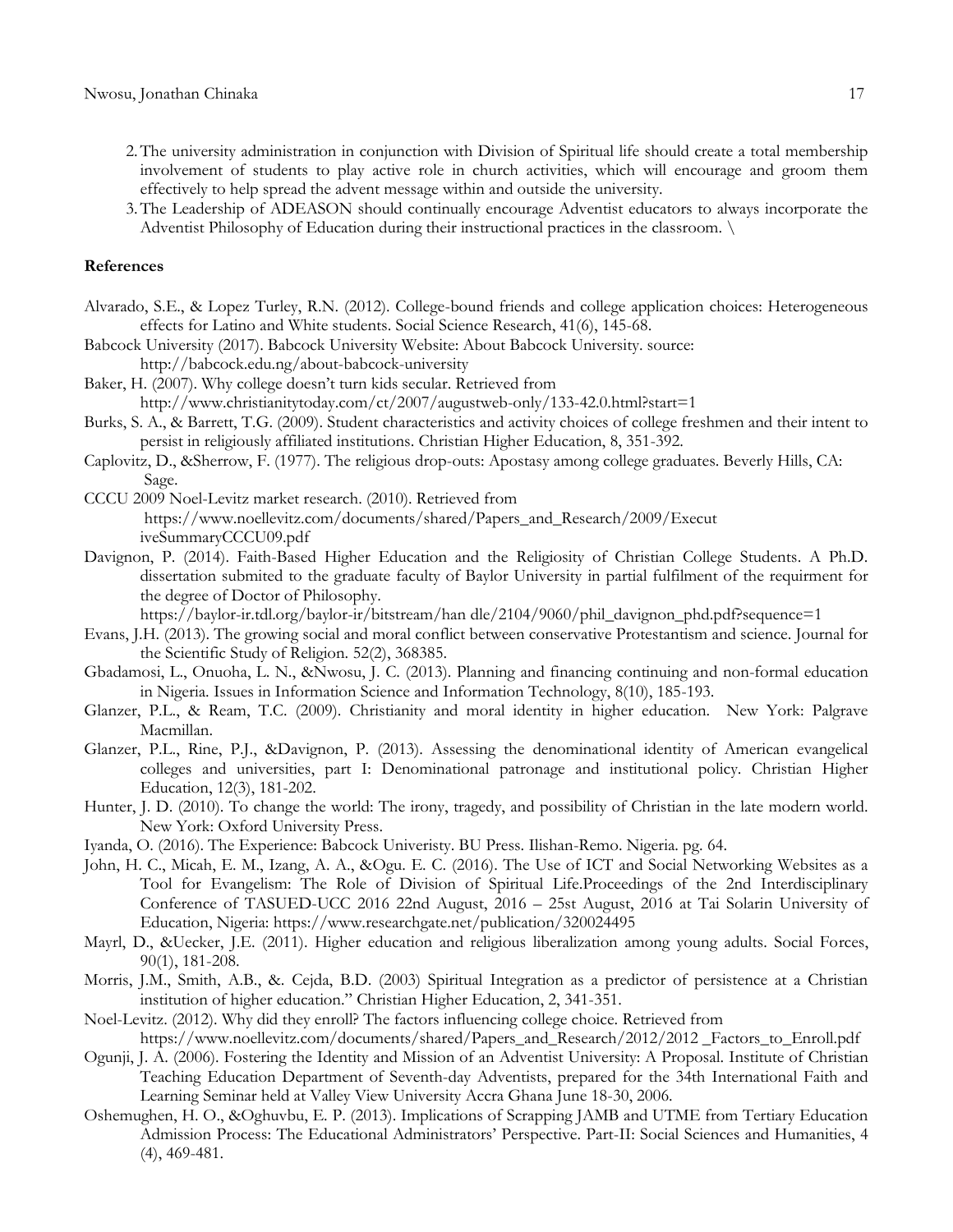- 2.The university administration in conjunction with Division of Spiritual life should create a total membership involvement of students to play active role in church activities, which will encourage and groom them effectively to help spread the advent message within and outside the university.
- 3.The Leadership of ADEASON should continually encourage Adventist educators to always incorporate the Adventist Philosophy of Education during their instructional practices in the classroom. \

#### **References**

- Alvarado, S.E., & Lopez Turley, R.N. (2012). College-bound friends and college application choices: Heterogeneous effects for Latino and White students. Social Science Research, 41(6), 145-68.
- Babcock University (2017). Babcock University Website: About Babcock University. source:

[http://babc](http://bab/)ock.edu.ng/about-babcock-university

- Baker, H. (2007). Why college doesn't turn kids secular. Retrieved from [http://www.chris](http://www.chr/)tianitytoday.com/ct/2007/augustweb-only/133-42.0.html?start=1
- Burks, S. A., & Barrett, T.G. (2009). Student characteristics and activity choices of college freshmen and their intent to persist in religiously affiliated institutions. Christian Higher Education, 8, 351-392.
- Caplovitz, D., &Sherrow, F. (1977). The religious drop-outs: Apostasy among college graduates. Beverly Hills, CA: Sage.
- CCCU 2009 Noel-Levitz market research. (2010). Retrieved from [https://www.noellev](https://www.noelle/)itz.com/documents/shared/Papers\_and\_Research/2009/Execut iveSummaryCCCU09.pdf
- Davignon, P. (2014). Faith-Based Higher Education and the Religiosity of Christian College Students. A Ph.D. dissertation submited to the graduate faculty of Baylor University in partial fulfilment of the requirment for the degree of Doctor of Philosophy.

[https://baylor-ir.tdl.org/baylor-ir/bitstream/han dle/2104/9060](https://baylor-ir.tdl.org/baylor-ir/bitstream/han%20dle/2104/906)/phil\_davignon\_phd.pdf?sequence=1

- Evans, J.H. (2013). The growing social and moral conflict between conservative Protestantism and science. Journal for the Scientific Study of Religion. 52(2), 368385.
- Gbadamosi, L., Onuoha, L. N., &Nwosu, J. C. (2013). Planning and financing continuing and non-formal education in Nigeria. Issues in Information Science and Information Technology, 8(10), 185-193.
- Glanzer, P.L., & Ream, T.C. (2009). Christianity and moral identity in higher education. New York: Palgrave Macmillan.
- Glanzer, P.L., Rine, P.J., &Davignon, P. (2013). Assessing the denominational identity of American evangelical colleges and universities, part I: Denominational patronage and institutional policy. Christian Higher Education, 12(3), 181-202.
- Hunter, J. D. (2010). To change the world: The irony, tragedy, and possibility of Christian in the late modern world. New York: Oxford University Press.
- Iyanda, O. (2016). The Experience: Babcock Univeristy. BU Press. Ilishan-Remo. Nigeria. pg. 64.
- John, H. C., Micah, E. M., Izang, A. A., &Ogu. E. C. (2016). The Use of ICT and Social Networking Websites as a Tool for Evangelism: The Role of Division of Spiritual Life.Proceedings of the 2nd Interdisciplinary Conference of TASUED-UCC 2016 22nd August, 2016 – 25st August, 2016 at Tai Solarin University of Education, Nigeria:<https://www.researchgate.net/publication/320024495>
- Mayrl, D., &Uecker, J.E. (2011). Higher education and religious liberalization among young adults. Social Forces, 90(1), 181-208.
- Morris, J.M., Smith, A.B., &. Cejda, B.D. (2003) Spiritual Integration as a predictor of persistence at a Christian institution of higher education." Christian Higher Education, 2, 341-351.
- Noel-Levitz. (2012). Why did they enroll? The factors influencing college choice. Retrieved from [https://www.](https://www/)noellevitz.com/documents/shared/Papers\_and\_Research/2012/2012 \_Factors\_to\_Enroll.pdf
- Ogunji, J. A. (2006). Fostering the Identity and Mission of an Adventist University: A Proposal. Institute of Christian Teaching Education Department of Seventh-day Adventists, prepared for the 34th International Faith and Learning Seminar held at Valley View University Accra Ghana June 18-30, 2006.
- Oshemughen, H. O., &Oghuvbu, E. P. (2013). Implications of Scrapping JAMB and UTME from Tertiary Education Admission Process: The Educational Administrators' Perspective. Part-II: Social Sciences and Humanities, 4 (4), 469-481.